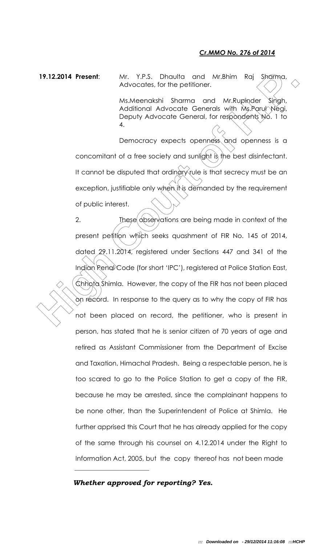## *Cr.MMO No. 276 of 2014*

19.12.2014 Present: Mr. Y.P.S. Dhaulta and Mr.Bhim Raj Sharma, Advocates, for the petitioner.

> Ms.Meenakshi Sharma and Mr.Rupinder Singh, Additional Advocate Generals with Ms.Parul Negi, Deputy Advocate General, for respondents No. 1 to 4.

Democracy expects openness and openness is a concomitant of a free society and sunlight is the best disinfectant. It cannot be disputed that ordinary rule is that secrecy must be an exception, justifiable only when it is demanded by the requirement of public interest.

19.12.2014 **Present:** Mr. Y.P.S. Dhoulta and Mr.Bhim Raj Shamo, Advocates, for the petitioner.<br>
Ms. Moreontshi Shamon and Mr.Rupinder Singh,<br>
Ms.Holdiband Advocate Generals with Ms.Parut Negi,<br>
Depoily Advocate Generals wi 2. These observations are being made in context of the present petition which seeks quashment of FIR No. 145 of 2014, dated 29.11.2014, registered under Sections 447 and 341 of the Indian Renal Code (for short 'IPC'), registered at Police Station East, Chhota Shimla. However, the copy of the FIR has not been placed on record. In response to the query as to why the copy of FIR has not been placed on record, the petitioner, who is present in person, has stated that he is senior citizen of 70 years of age and retired as Assistant Commissioner from the Department of Excise and Taxation, Himachal Pradesh. Being a respectable person, he is too scared to go to the Police Station to get a copy of the FIR, because he may be arrested, since the complainant happens to be none other, than the Superintendent of Police at Shimla. He further apprised this Court that he has already applied for the copy of the same through his counsel on 4.12.2014 under the Right to Information Act, 2005, but the copy thereof has not been made

## *Whether approved for reporting? Yes.*

 $\mathcal{L}_\text{max}$  , which is a set of the set of the set of the set of the set of the set of the set of the set of the set of the set of the set of the set of the set of the set of the set of the set of the set of the set of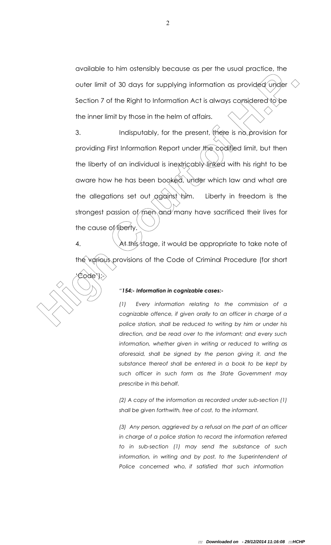available to him ostensibly because as per the usual practice, the outer limit of 30 days for supplying information as provided under  $\leq$ Section 7 of the Right to Information Act is always considered to be the inner limit by those in the helm of affairs.

**Example 19 Table 19 Table 20 Table 20 Table 20 Table 20 Table 20 Table 20 Table 20 Table 20 Table 20 Table 20 Table 20 Table 20 Table 20 Table 20 Table 20 Table 20 Table 20 Table 20 Table 20 Table 20 Table 20 Table 20 Ta** 3. Indisputably, for the present, (there is no provision for providing First Information Report under the codified limit, but then the liberty of an individual is inextricably linked with his right to be aware how he has been booked, under which law and what are the allegations set out against him. Liberty in freedom is the strongest passion of men and many have sacrificed their lives for the cause of liberty.

4.  $\hat{\mathcal{A}}$  At this stage, it would be appropriate to take note of the various provisions of the Code of Criminal Procedure (for short 'Code'):-



*(1) Every information relating to the commission of a cognizable offence, if given orally to an officer in charge of a police station, shall be reduced to writing by him or under his direction, and be read over to the informant; and every such information, whether given in writing or reduced to writing as aforesaid, shall be signed by the person giving it, and the substance thereof shall be entered in a book to be kept by such officer in such form as the State Government may prescribe in this behalf.* 

*(2) A copy of the information as recorded under sub-section (1) shall be given forthwith, free of cost, to the informant.* 

*(3) Any person, aggrieved by a refusal on the part of an officer in charge of a police station to record the information referred to in sub-section (1) may send the substance of such information, in writing and by post, to the Superintendent of Police concerned who, if satisfied that such information*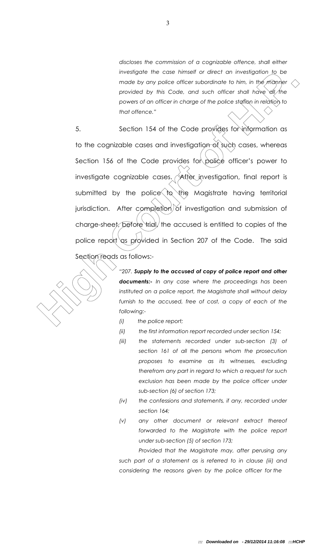*discloses the commission of a cognizable offence, shall either investigate the case himself or direct an investigation to be made by any police officer subordinate to him, in the manner provided by this Code, and such officer shall have all the powers of an officer in charge of the police station in relation to that offence."* 

Investigate in case timest or direct order to him, in the model of the model of the model of the model of the power of the power of the power of the power of the power of the power of the power of the power of the court of 5. Section 154 of the Code provides for information as to the cognizable cases and investigation of such cases, whereas Section 156 of the Code provides for police officer's power to investigate cognizable cases.  $\triangle$  atter investigation, final report is submitted by the police  $\log$  the Magistrate having territorial jurisdiction. After completion of investigation and submission of charge-sheet, before trial, the accused is entitled to copies of the police report as provided in Section 207 of the Code. The said Section reads as follows:-

*"207. Supply to the accused of copy of police report and other documents:- In any case where the proceedings has been instituted on a police report, the Magistrate shall without delay*  furnish to the accused, free of cost, a copy of each of the *following:-*

- *(i) the police report;*
- *(ii) the first information report recorded under section 154;*
- *(iii) the statements recorded under sub-section (3) of section 161 of all the persons whom the prosecution proposes to examine as its witnesses, excluding therefrom any part in regard to which a request for such exclusion has been made by the police officer under sub-section (6) of section 173;*
- *(iv) the confessions and statements, if any, recorded under section 164;*
- *(v) any other document or relevant extract thereof forwarded to the Magistrate with the police report under sub-section (5) of section 173;*

*Provided that the Magistrate may, after perusing any such part of a statement as is referred to in clause (iii) and considering the reasons given by the police officer for the*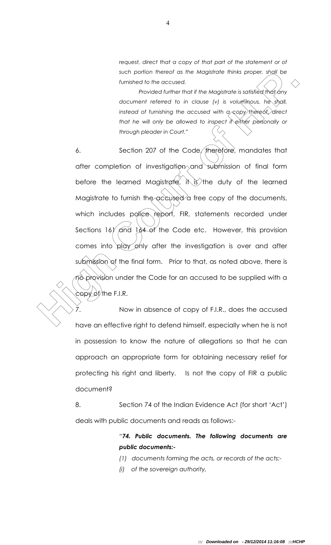*request, direct that a copy of that part of the statement or of such portion thereof as the Magistrate thinks proper, shall be furnished to the accused.* 

*Provided further that if the Magistrate is satisfied that any document referred to in clause (v) is voluminous, he shall, instead of furnishing the accused with a copy thereof, direct that he will only be allowed to inspect if either personally or through pleader in Court."*

such primes as the Magistrale thinks proper, spall to the motivate of the motivate of the motivate is satisfied that any<br>*High Court of H.P. The Court of Court of H.P.* The value is satisfied that any<br>*instead of tunising* 6. Section 207 of the Code, therefore, mandates that after completion of investigation and submission of final form before the learned Magistrate, it is the duty of the learned Magistrate to furnish the accused a free copy of the documents, which includes police report, FIR, statements recorded under Sections 161 and 164 of the Code etc. However, this provision comes into play only after the investigation is over and after submission of the final form. Prior to that, as noted above, there is no provision under the Code for an accused to be supplied with a  $\texttt{copyOf}/\texttt{the F.I.R.}$ 

7. Now in absence of copy of F.I.R., does the accused have an effective right to defend himself, especially when he is not in possession to know the nature of allegations so that he can approach an appropriate form for obtaining necessary relief for protecting his right and liberty. Is not the copy of FIR a public document?

8. Section 74 of the Indian Evidence Act (for short 'Act') deals with public documents and reads as follows:-

> *"74. Public documents. The following documents are public documents:-*

*(1) documents forming the acts, or records of the acts:-*

*(i) of the sovereign authority,*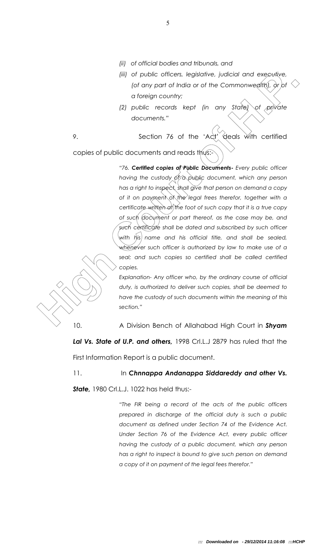- *(ii) of official bodies and tribunals, and*
- *(iii) of public officers, legislative, judicial and executive, (of any part of India or of the Commonwealth), or/of a foreign country;*
- *(2) public records kept (in any State) of private documents."*

9. Section 76 of the 'Act<sup>y'</sup> deals with certified copies of public documents and reads thus:

(iii) of public officers, legislative, judicial and executive,<br>
(of any part of halid or of the Commonwealth), by or<br>
of the right counters,"<br>
(b) public records kept (in any state) of galvatie<br>
documents."<br>
9. Section 76 *"76. Certified copies of Public Documents- Every public officer having the custody of a public document, which any person has a right to inspect, shall give that person on demand a copy of it on payment of the legal frees therefor, together with a certificate written at the foot of such copy that it is a true copy of such document or part thereof, as the case may be, and such certificate shall be dated and subscribed by such officer with his name and his official title, and shall be sealed, whenever such officer is authorized by law to make use of a*  seal; and such copies so certified shall be called certified *copies.* 

*Explanation- Any officer who, by the ordinary course of official duty, is authorized to deliver such copies, shall be deemed to have the custody of such documents within the meaning of this section."*

10. A Division Bench of Allahabad High Court in *Shyam Lal Vs. State of U.P. and others,* 1998 Crl.L.J 2879 has ruled that the First Information Report is a public document.

## 11. In *Chnnappa Andanappa Siddareddy and other Vs.*

*State,* 1980 Crl.L.J. 1022 has held thus:-

*"The FIR being a record of the acts of the public officers prepared in discharge of the official duty is such a public document as defined under Section 74 of the Evidence Act. Under Section 76 of the Evidence Act, every public officer having the custody of a public document, which any person has a right to inspect is bound to give such person on demand a copy of it on payment of the legal fees therefor."*

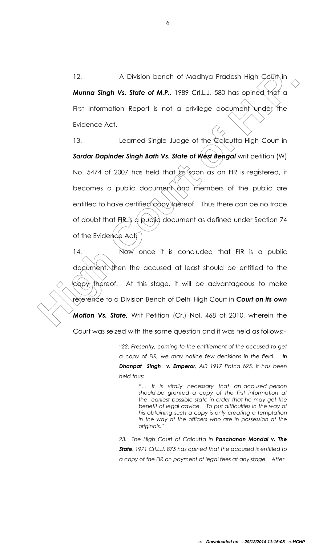12. A Division bench of Madhya Pradesh High Court in *Munna Singh Vs. State of M.P.,* 1989 Crl.L.J. 580 has opined that a First Information Report is not a privilege document under the Evidence Act.

A Division bench of Madhya Pracesh High Court in<br> **Munna Singh Vs. State of M.P.**, 1989 Crl.L.J. 580 has opined that a<br>
First Information Report is not a privilege document under the<br>
Evidence Act.<br>
13. Learned Single Judg 13. Learned Single Judge of the Calcutta High Court in **Sardar Dapinder Singh Bath Vs. State of West Bengal** writ petition (W) No. 5474 of 2007 has held that  $\alpha$ s soon as an FIR is registered, it becomes a public document and members of the public are entitled to have certified copy thereof. Thus there can be no trace of doubt that FIR is a public document as defined under Section 74 of the Evidence Act.

14. Now once it is concluded that FIR is a public document, then the accused at least should be entitled to the  $\langle c\phi p\rangle$  thereof. At this stage, it will be advantageous to make reference to a Division Bench of Delhi High Court in *Court on its own Motion Vs. State,* Writ Petition (Cr.) Nol. 468 of 2010, wherein the Court was seized with the same question and it was held as follows:-

> *"22. Presently, coming to the entitlement of the accused to get a copy of FIR, we may notice few decisions in the field. In Dhanpat Singh v. Emperor, AIR 1917 Patna 625, it has been held thus:*

> > *"… It is vitally necessary that an accused person should be granted a copy of the first information at the earliest possible state in order that he may get the benefit of legal advice. To put difficulties in the way of his obtaining such a copy is only creating a temptation in the way of the officers who are in possession of the originals."*

*23. The High Court of Calcutta in Panchanan Mondal v. The State, 1971 Crl.L.J. 875 has opined that the accused is entitled to a copy of the FIR on payment of legal fees at any stage. After*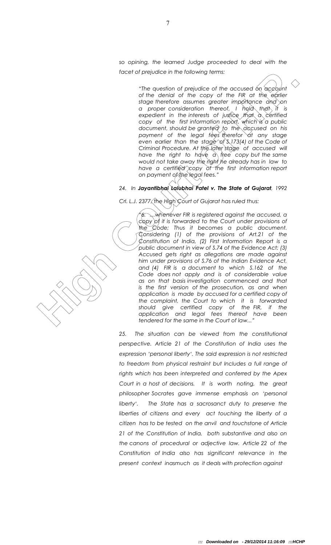*so opining, the learned Judge proceeded to deal with the facet of prejudice in the following terms:*

> *"The question of prejudice of the accused on account of the denial of the copy of the FIR at the earlier stage therefore assumes greater importance and on*  a proper consideration thereof, I hold th*a*t it is *expedient in the interests of justice that a certified copy of the first information report, which is a public document, should be granted to the accused on his*  payment of the legal fees therefor at any stage even earlier than the stage of \$,173(4) of the Code of *Criminal Procedure. At the later stage of accused will have the right to have a free copy but the same would not take away the right he already has in law to have a certified* copy of the first information report *on payment of the legal fees."*

## *24. In Jayantibhai Lalubhai Patel v. The State of Gujarat, 1992*

*Crl. L.J. 2377, the High Court of Gujarat has ruled thus:*

Hote of prejudice in the following learns:<br>
The question of prejudice of the course of the occurred on occidation<br>
of the densing of the course of the FR of the Governor of proper consideration theres,  $\frac{1}{n}$ , helpid, *"6. …whenever FIR is registered against the accused, a copy of it is forwarded to the Court under provisions of the Code; Thus it becomes a public document. Considering (1) of the provisions of Art.21 of the Constitution of India, (2) First Information Report is a public document in view of S.74 of the Evidence Act; (3) Accused gets right as allegations are made against him under provisions of S.76 of the Indian Evidence Act, and (4) FIR is a document to which S.162 of the Code does not apply and is of considerable value as on that basis investigation commenced and that is the first version of the prosecution, as and when application is made by accused for a certified copy of the complaint, the Court to which it is forwarded should give certified copy of the FIR, if the application and legal fees thereof have been tendered for the same in the Court of law..."*

25. The situation can be viewed from the constitutional *perspective. Article 21 of the Constitution of India uses the expression 'personal liberty'. The said expression is not restricted to freedom from physical restraint but Includes a full range of rights which has been interpreted and conferred by the Apex*  Court in a host of decisions. It is worth noting, the great *philosopher Socrates gave immense emphasis on 'personal liberty'. The State has a sacrosanct duty to preserve the liberties of citizens and every act touching the liberty of a citizen has to be tested on the anvil and touchstone of Article 21 of the Constitution of India, both substantive and also on the canons of procedural or adjective law. Article 22 of the Constitution of India also has significant relevance in the present context inasmuch as it deals with protection against* 

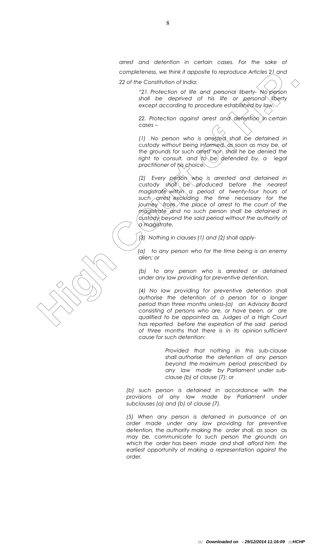*arrest and detention in certain cases. For the sake of completeness, we think it apposite to reproduce Articles 21 and 22 of the Constitution of India:*

> *"21. Protection of life and personal liberty- No person shall be deprived of his life or personal liberty except according to procedure established by law.*

> *22. Protection against arrest and detention in certain cases –*

> *(1) No person who is arrested shall be detained in custody without being informed, as soon as may be, of the grounds for such arrest nor shall he be denied the right to consult, and to be defended by, a legal practitioner of his choice.*

complete the third is opposite to reproduce Antices 21 ond<br>
22 of the Constitution of India<br>
22 of the Constitution of India<br>
22 of the Constitution of India<br>
22 of the distribution of India<br>
23 of the distribution of Indi *(2) Every person who is arrested and detained in custody shall be produced before the nearest magistrate within a period of twenty-four hours of such arrest excluding the time necessary for the journey from the place of arrest to the court of the magistrate and no such person shall be detained in custody beyond the said period without the authority of a magistrate.*

*(3) Nothing in clauses (1) and (2) shall apply-*

*(a) to any person who for the time being is an enemy alien; or*

*(b) to any person who is arrested or detained under any law providing for preventive detention.*

*(4) No law providing for preventive detention shall authorise the detention of a person for a longer period than three months unless-(a) an Advisory Board consisting of persons who are, or have been, or are qualified to be appointed as, Judges of a High Court has reported before the expiration of the said period of three months that there is in its opinion sufficient cause for such detention:*

> *Provided that nothing in this sub-clause shall authorise the detention of any person beyond the maximum period prescribed by any law made by Parliament under subclause (b) of clause (7); or*

*(b) such person is detained in accordance with the provisions of any law made by Parliament under subclauses (a) and (b) of clause (7).*

*(5) When any person is detained in pursuance of an order made under any law providing for preventive detention, the authority making the order shall, as soon as may be, communicate to such person the grounds on which the order has been made and shall afford him the earliest opportunity of making a representation against the order.*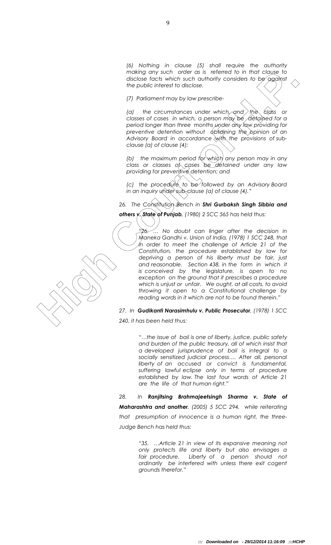*(6) Nothing in clause (5) shall require the authority making any such order as is referred to in that clause to disclose facts which such authority considers to be against the public interest to disclose.*

*(7) Parliament may by law prescribe-*

*(a) the circumstances under which, and the class or classes of cases in which, a person may be detained for a period longer than three months under any law providing for preventive detention without obtaining the opinion of an Advisory Board in accordance with the provisions of subclause (a) of clause (4);*

*(b)* the maximum period for which any person may in any *class or classes of cases be detained under any law providing for preventive detention; and* 

*(c) the procedure to be followed by an Advisory Board in an inquiry under sub-clause (a) of clause (4)."*

*26. The Constitution Bench in Shri Gurbaksh Singh Sibbia and* 

*others v. State of Punjab, (1980) 2 SCC 565 has held thus:*

mother give such a die network of the first distance of the first distance of the first distance of the pole interest of the pole interest of the pole interest of the pole interest of the pole interest of the pole interest *"26. … No doubt can linger after the decision in Maneka Gandhi v. Union of India, (1978) 1 SCC 248, that in order to meet the challenge of Article 21 of the Constitution, the procedure established by law for depriving a person of his liberty must be fair, just and reasonable. Section 438, in the form in which it is conceived by the legislature, is open to no exception on the ground that it prescribes a procedure which is unjust or unfair. We ought, at all costs, to avoid throwing it open to a Constitutional challenge by reading words in it which are not to be found therein."*

*27. In Gudikanti Narasimhulu v. Public Prosecutor, (1978) 1 SCC* 

*240, it has been held thus:*

*"…the issue of bail is one of liberty, justice, public safety and burden of the public treasury, all of which insist that a developed jurisprudence of bail is integral to a socially sensitized judicial process…. After all, personal liberty of an accused or convict is fundamental, suffering lawful eclipse only in terms of procedure established by law. The last four words of Article 21 are the life of that human right."*

*28. In Ranjitsing Brahmajeetsingh Sharma v. State of Maharashtra and another, (2005) 5 SCC 294, while reiterating that presumption of innocence is a human right, the three-Judge Bench has held thus:*

> *"35. …Article 21 in view of its expansive meaning not only protects life and liberty but also envisages a fair procedure. Liberty of a person should not ordinarily be interfered with unless there exit cogent grounds therefor."*

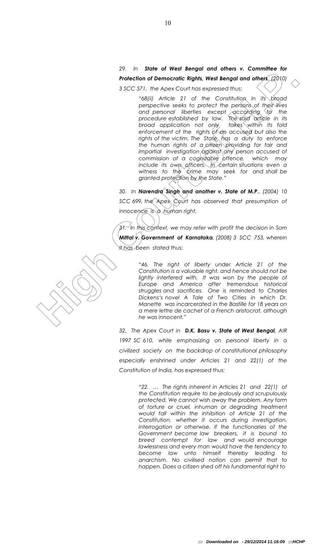*29. In State of West Bengal and others v. Committee for Protection of Democratic Rights, West Bengal and others, (2010) 3 SCC 571, the Apex Court has expressed thus:*

**Photochology of the countries of the state of the state of the state of the state of the state of the state of the state of the state of the state of the state of the state of the state of the state of the state of the st** *"68(ii) Article 21 of the Constitution in its broad perspective seeks to protect the persons of their lives and personal liberties except according to the procedure established by law. The said article in its broad application not only takes within its fold enforcement of the rights of an accused but also the rights of the victim. The State has a duty to enforce the human rights of a citizen providing for fair and impartial investigation against any person accused of commission of a coghizable offence, which may include its own officers. In certain situations even a* witness to the crime may seek for and shall be *granted protection by the State."*

*30. In Narendra Singh and another v. State of M.P., (2004) 10 SCC 699, the Apex Court has observed that presumption of innocence is a human right.*

*31. In this context, we may refer with profit the decision in Som Mittal v. Government of Karnataka, (2008) 3 SCC 753, wherein it has been stated thus:*

> *"46. The right of liberty under Article 21 of the Constitution is a valuable right, and hence should not be*  lightly interfered with. It was won by the people of *Europe and America after tremendous historical struggles and sacrifices. One is reminded to Charles Dickens's novel A Tale of Two Cities in which Dr. Manette was incarcerated in the Bastille for 18 years on a mere lettre de cachet of a French aristocrat, although he was innocent."*

*32. The Apex Court in D.K. Basu v. State of West Bengal, AIR 1997 SC 610, while emphasizing on personal liberty in a civilized society on the backdrop of constitutional philosophy especially enshrined under Articles 21 and 22(1) of the Constitution of India, has expressed thus:*

> *"22. … The rights inherent in Articles 21 and 22(1) of the Constitution require to be jealously and scrupulously protected. We cannot wish away the problem. Any form of torture or cruel, inhuman or degrading treatment would fall within the inhibition of Article 21 of the Constitution, whether it occurs during investigation, interrogation or otherwise. If the functionaries of the Government become law breakers, it is bound to breed contempt for law and would encourage lawlessness and every man would have the tendency to become law unto himself thereby leading to anarchism. No civilised nation can permit that to happen. Does a citizen shed off his fundamental right to*

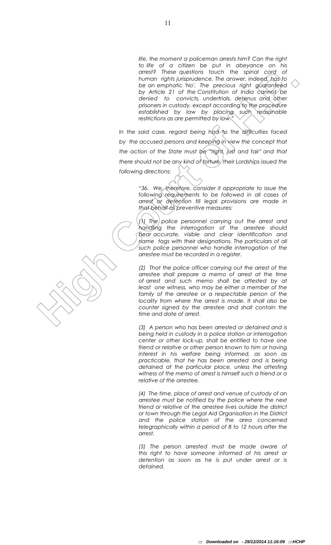*life, the moment a policeman arrests him? Can the right to life of a citizen be put in abeyance on his arrest? These questions touch the spinal cord of human rights jurisprudence. The answer, indeed, has to be an emphatic 'No'. The precious right guaranteed*  by Article 21 of the Constitution of India cannot be *denied to convicts, undertrials, detenus and other prisoners in custody, except according to the procedure established by law by placing such reasonable restrictions as are permitted by law."*

*In the said case, regard being had to the difficulties faced by the accused persons and keeping in view the concept that the action of the State must be "right, just and fair" and that there should not be any kind of torture, their Lordships issued the following directions:*

> *"36. We, therefore, consider it appropriate to issue the following requirements to be followed in all cases of arrest or detention till legal provisions are made in that behalf as preventive measures:*

> *(1) The police personnel carrying out the arrest and handling the interrogation of the arrestee should bear accurate, visible and clear identification and name* tags with their designations. The particulars of all *such police personnel who handle interrogation of the arrestee must be recorded in a register.*

conser to many lot the specific studies of the specific studies of the control of the specific studies of the precision of the properties of the properties of the properties of the court of the specific studies of the cour *(2) That the police officer carrying out the arrest of the arrestee shall prepare a memo of arrest at the time of arrest and such memo shall be attested by at least one witness, who may be either a member of the*  family of the arrestee or a respectable person of the *locality from where the arrest is made. It shall also be counter signed by the arrestee and shall contain the time and date of arrest.*

*(3) A person who has been arrested or detained and is being held in custody in a police station or interrogation center or other lock-up, shall be entitled to have one friend or relative or other person known to him or having interest in his welfare being informed, as soon as practicable, that he has been arrested and is being detained at the particular place, unless the attesting witness of the memo of arrest is himself such a friend or a relative of the arrestee.*

*(4) The time, place of arrest and venue of custody of an arrestee must be notified by the police where the next friend or relative of the arrestee lives outside the district or town through the Legal Aid Organisation in the District and the police station of the area concerned telegraphically within a period of 8 to 12 hours after the arrest.*

*(5) The person arrested must be made aware of this right to have someone informed of his arrest or detention as soon as he is put under arrest or is detained.*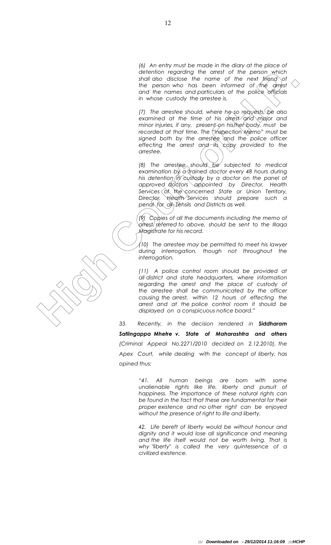*(6) An entry must be made in the diary at the place of detention regarding the arrest of the person which shall also disclose the name of the next friend of the person who has been informed of the arrest and the names and particulars of the police officials in whose custody the arrestee is.*

*(7) The arrestee should, where he so requests, be also examined at the time of his arrest and major and minor injuries, if any, present on his/her body, must be recorded at that time. The "Inspection Memo" must be signed both by the arrestee and the police officer effecting the arrest and its copy provided to the arrestee.*

*(8) The arrestee should be subjected to medical examination by a trained doctor every 48 hours during his detention in custody by a doctor on the panel of approved doctors appointed by Director, Health Services of the concerned State or Union Territory, Director, Health Services should prepare such a penal for all Tehsils and Districts as well.*

*(9) Copies of all the documents including the memo of arrest, referred to above, should be sent to the Illaqa Magistrate for his record.*

*(10) The arrestee may be permitted to meet his lawyer during interrogation, though not throughout the interrogation.*

detention displaced the mean of the pear notices.<br>
the pear of the control of the pear of the next fluend of the control of the control of the control of the state of the state of the detector<br>
In the pearse of the mean of *(11) A police control room should be provided at all district and state headquarters, where information regarding the arrest and the place of custody of the arrestee shall be communicated by the officer causing the arrest, within 12 hours of effecting the arrest and at the police control room it should be displayed on a conspicuous notice board."*

*33. Recently, in the decision rendered in Siddharam Satlingappa Mhetre v. State of Maharashtra and others (Criminal Appeal No.2271/2010 decided on 2.12.2010), the Apex Court, while dealing with the concept of liberty, has opined thus:*

> *"41. All human beings are born with some unalienable rights like life, liberty and pursuit of happiness. The importance of these natural rights can be found in the fact that these are fundamental for their proper existence and no other right can be enjoyed without the presence of right to life and liberty.*

> *42. Life bereft of liberty would be without honour and dignity and it would lose all significance and meaning and the life itself would not be worth living. That is why "liberty" is called the very quintessence of a civilized existence.*

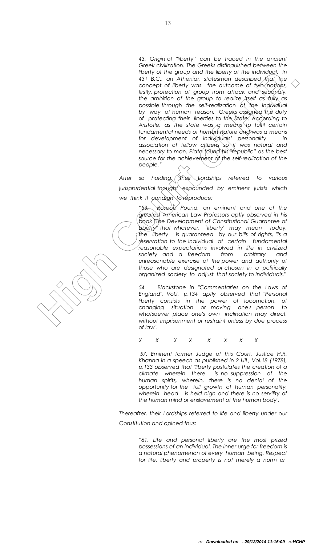**Example 19 cargo and the liberty of the interfering the material by the properties and the liberty of illustration of North Oxfords and the court of North Court of North Oxfords and the court of North Oxfords and the cour** *43. Origin of "liberty"' can be traced in the ancient Greek civilization. The Greeks distinguished between the liberty of the group and the liberty of the individual. In*  431 B.C., an Athenian statesman described that the *concept of liberty was the outcome of two notions, firstly, protection of group from attack and secondly, the ambition of the group to realize itself as fully as possible through the self-realization of the individual by way of human reason. Greeks assigned the duty of protecting their liberties to the State. According to Aristotle, as the state was a means to fulfil certain*  fundamental needs of human nature and was a means *for development of individuals' personality in association of fellow citizens so it was natural and necessary to man. Plato found his "republic" as the best source for the achievement of the self-realization of the people."*

*After so holding, their Lordships referred to various jurisprudential thought expounded by eminent jurists which we think it condign to reproduce:*

> *"53. Roscoe Pound, an eminent and one of the greatest American Law Professors aptly observed in his book "The Development of Constitutional Guarantee of Liberty" that whatever, `liberty' may mean today, the liberty is guaranteed by our bills of rights, "is a reservation to the individual of certain fundamental reasonable expectations involved in life in civilized society and a freedom from arbitrary and unreasonable exercise of the power and authority of those who are designated or chosen in a politically organized society to adjust that society to individuals."*

> *54. Blackstone in "Commentaries on the Laws of England", Vol.I, p.134 aptly observed that "Personal liberty consists in the power of locomotion, of changing situation or moving one's person to whatsoever place one's own inclination may direct, without imprisonment or restraint unless by due process of law".*

*X X X X X X X X* 

*57. Eminent former Judge of this Court, Justice H.R. Khanna in a speech as published in 2 IJIL, Vol.18 (1978), p.133 observed that "liberty postulates the creation of a climate wherein there is no suppression of the human spirits, wherein, there is no denial of the opportunity for the full growth of human personality, wherein head is held high and there is no servility of the human mind or enslavement of the human body".* 

*Thereafter, their Lordships referred to life and liberty under our Constitution and opined thus:*

> *"61. Life and personal liberty are the most prized possessions of an individual. The inner urge for freedom is a natural phenomenon of every human being. Respect for life, liberty and property is not merely a norm or*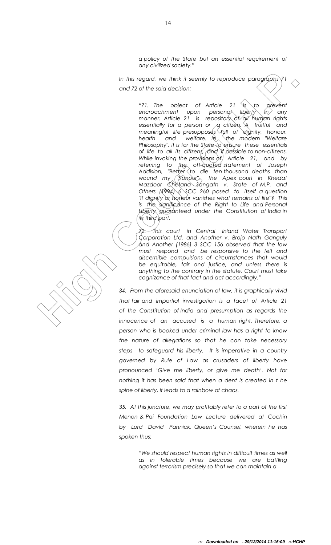*a policy of the State but an essential requirement of any civilized society."*

*In this regard, we think it seemly to reproduce paragraphs 71 and 72 of the said decision:*

In this regard, we think it seemly to reproduce paragrigate 71<br>
and 72 of the said decision:<br>
"IT, The abject of Article 21 \time (a) and the said decision:<br>
"IT and before the court of Article 21 \time (a)  $\mu$  only<br>
mann *"71. The object of Article 21 is to prevent encroachment upon personal liberty in any manner. Article 21 is repository of all human rights*  essentially for a person or *,* a citizen. A fruitful and *meaningful life presupposes full of dignity, honour, health* and welfare. In  $\langle$  the modern "Welfare *Philosophy", it is for the State to ensure these essentials of life to all its citizens, and if possible to non-citizens. While invoking the provisions of Article 21, and by referring to the oft-quoted statement of Joseph Addision, "Better to die ten thousand deaths than wound my honour", the Apex court in Khedat Mazdoor Chetana Sangath v. State of M.P. and Others (1994) 6 SCC 260 posed to itself a question "If dignity or honour vanishes what remains of life"? This is the significance of the Right to Life and Personal Liberty guaranteed under the Constitution of India in its third part.* 

*72. This court in Central Inland Water Transport Corporation Ltd. and Another v. Brojo Nath Ganguly and Another (1986) 3 SCC 156 observed that the law must respond and be responsive to the felt and discernible compulsions of circumstances that would be equitable, fair and justice, and unless there is anything to the contrary in the statute, Court must take cognizance of that fact and act accordingly."*

*34. From the aforesaid enunciation of law, it is graphically vivid that fair and impartial investigation is a facet of Article 21 of the Constitution of India and presumption as regards the innocence of an accused is a human right. Therefore, a person who is booked under criminal law has a right to know the nature of allegations so that he can take necessary steps to safeguard his liberty. It is imperative in a country governed by Rule of Law as crusaders of liberty have pronounced 'Give me liberty, or give me death'. Not for nothing it has been said that when a dent is created in t he spine of liberty, it leads to a rainbow of chaos.*

*35. At this juncture, we may profitably refer to a part of the first Menon & Pai Foundation Law Lecture delivered at Cochin by Lord David Pannick, Queen's Counsel, wherein he has spoken thus:*

> *"We should respect human rights in difficult times as well as in tolerable times because we are battling against terrorism precisely so that we can maintain a*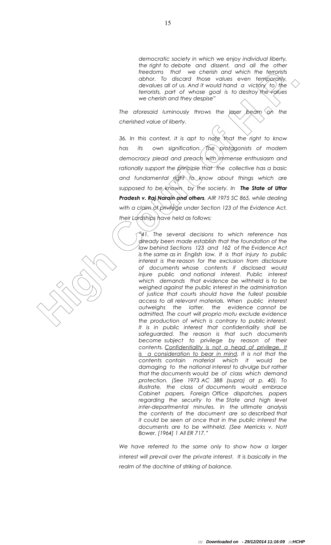*democratic society in which we enjoy individual liberty, the right to debate and dissent, and all the other freedoms that we cherish and which the terrorists abhor. To discard those values even temporarily, devalues all of us. And it would hand a victory to the terrorists, part of whose goal is to destroy the values we cherish and they despise"*

*The aforesaid luminously throws the laser beam on the cherished value of liberty.*

*36. In this context, it is apt to note that the right to know*  has its own signification. The protagonists of modern *democracy plead and preach with immense enthusiasm and rationally support the principle that the collective has a basic and fundamental right to know about things which are supposed to be known by the society. In The State of Uttar Pradesh v. Raj Narain and others, AIR 1975 SC 865, while dealing with a claim of privilege under Section 123 of the Evidence Act, their Lordships have held as follows:* 

**Exactions that we chest not within the lightning line courts and with the lightning line of the system between the properties of lots and the system between the properties of lots and the system of the properties of the s** *"41. The several decisions to which reference has already been made establish that the foundation of the law behind Sections 123 and 162 of the Evidence Act is the same as in English law. It is that injury to public interest is the reason for the exclusion from disclosure of documents whose contents if disclosed would injure public and national interest. Public interest which demands that evidence be withheld is to be weighed against the public interest in the administration of justice that courts should have the fullest possible access to all relevant materials. When public interest outweighs the latter, the evidence cannot be admitted. The court will proprio motu exclude evidence the production of which is contrary to public interest. It is in public interest that confidentiality shall be safeguarded. The reason is that such documents become subject to privilege by reason of their contents. Confidentiality is not a head of privilege. It is a consideration to bear in mind. It is not that the contents contain material which it would be damaging to the national interest to divulge but rather that the documents would be of class which demand protection. (See 1973 AC 388 (supra) at p. 40). To illustrate, the class of documents would embrace Cabinet papers, Foreign Office dispatches, papers regarding the security to the State and high level inter-departmental minutes. In the ultimate analysis the contents of the document are so described that it could be seen at once that in the public interest the documents are to be withheld. (See Merricks v. Nott Bower. [1964] 1 All ER 717."*

> *We have referred to the same only to show how a larger interest will prevail over the private interest. It is basically in the realm of the doctrine of striking of balance.*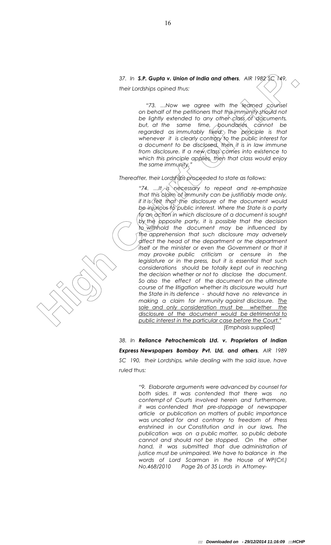# *37. In S.P. Gupta v. Union of India and others, AIR 1982 SC 149, their Lordships opined thus:*

*"73. …Now we agree with the learned counsel on behalf of the petitioners that this immunity should not be lightly extended to any other class of documents, but, at the same time, boundaries cannot be regarded as immutably fixed. The principle is that whenever it is clearly contrary to the public interest for a document to be disclosed, then it is in law immune from disclosure. If a new class comes into existence to which this principle applies, then that class would enjoy the same immunity."*

*Thereafter, their Lordships proceeded to state as follows:*

37. In **S.P. Cupla v. Union of India and others,** AIR 1999 (2.19)<br>
their conditions cipied thus:<br>
"T.a., How we cape with the recording conditions that the intermediation of the dented conditions of the the properties of *"74. …It is necessary to repeat and re-emphasize that this claim of immunity can be justifiably made only, if it is felt that* the disclosure of the document would *be injurious to public interest. Where the State is a party to an action in which disclosure of a document is sought*  by the opposite party, it is possible that the decision *to withhold the document may be influenced by the apprehension that such disclosure may adversely affect the head of the department or the department*  itself or the minister or even the Government or that it *may provoke public criticism or censure in the legislature or in the press, but it is essential that such considerations should be totally kept out in reaching the decision whether or not to disclose the document. So also the effect of the document on the ultimate course of the litigation whether its disclosure would hurt the State in its defence - should have no relevance in making a claim for immunity against disclosure. The sole and only consideration must be whether the disclosure of the document would be detrimental to public interest in the particular case before the Court." [Emphasis supplied]*

*38. In Reliance Petrochemicals Ltd. v. Proprietors of Indian Express Newspapers Bombay Pvt. Ltd. and others, AIR 1989 SC 190, their Lordships, while dealing with the said issue, have ruled thus:*

> *"9. Elaborate arguments were advanced by counsel for both sides. It was contended that there was no contempt of Courts involved herein and furthermore, it was contended that pre-stoppage of newspaper article or publication on matters of public importance was uncalled for and contrary to freedom of Press enshrined in our Constitution and in our laws. The publication was on a public matter, so public debate cannot and should not be stopped. On the other hand, it was submitted that due administration of justice must be unimpaired. We have to balance in the words of Lord Scarman in the House of WP(Crl.) No.468/2010 Page 26 of 35 Lords in Attorney-*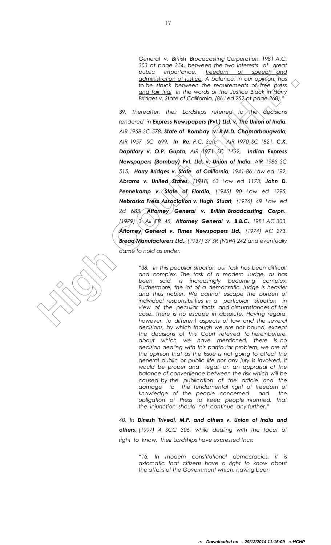*General v. British Broadcasting Corporation, 1981 A.C. 303 at page 354, between the two interests of great public importance, freedom of speech and administration of justice. A balance, in our opinion, has to be struck between the requirements of free press and fair trial in the words of the Justice Black in Harry Bridges v. State of California, (86 Led 252 at page 260)."*

**Example 12** in protonce. Transcending Court of State<br>
in the current of court of the court of the court of the court of the court of the state<br>
of the state of Court of Court of the state and the court of the state<br>
of t *39. Thereafter, their Lordships referred to the decisions rendered in Express Newspapers (Pvt.) Ltd. v. The Union of India,*  AIR 1958 SC 578, **State of Bombay (v. R.M.D. Chamarbaugwala,** *AIR 1957 SC 699, In Re: P.C. Sen, AIR 1970 SC 1821, C.K. Daphtary v. O.P. Gupta, AIR 1971 SC 1132, Indian Express Newspapers (Bombay) Pvt. Ltd. v. Union of India, AIR 1986 SC 515, Harry Bridges v. State of California, 1941-86 Law ed 192, Abrams v. United States, (1918) 63 Law ed 1173, John D. Pennekamp v. State of Flordia, (1945) 90 Law ed 1295, Nebraska Press Association v. Hugh Stuart, (1976) 49 Law ed 2d 683, Attorney General v. British Broadcasting Corpn., (1979) 3 All ER 45, Attorney General v. B.B.C., 1981 AC 303, Attorney General v. Times Newspapers Ltd., (1974) AC 273, Bread Manufacturers Ltd., (1937) 37 SR (NSW) 242 and eventually came to hold as under:*

*"38. In this peculiar situation our task has been difficult and complex. The task of a modern Judge, as has been said, is increasingly becoming complex.*  Furthermore, the lot of a democratic Judge is heavier *and thus nobler. We cannot escape the burden of individual responsibilities in a particular situation in view of the peculiar facts and circumstances of the case. There is no escape in absolute. Having regard, however, to different aspects of law and the several decisions, by which though we are not bound, except the decisions of this Court referred to hereinbefore, about which we have mentioned, there is no decision dealing with this particular problem, we are of the opinion that as the Issue is not going to affect the general public or public life nor any jury is involved, it would be proper and legal, on an appraisal of the balance of convenience between the risk which will be caused by the publication of the article and the damage to the fundamental right of freedom of knowledge of the people concerned and the obligation of Press to keep people informed, that the injunction should not continue any further."*

*40. In Dinesh Trivedi, M.P. and others v. Union of India and others, (1997) 4 SCC 306, while dealing with the facet of right to know, their Lordships have expressed thus:*

> *"16. In modern constitutional democracies, it is axiomatic that citizens have a right to know about the affairs of the Government which, having been*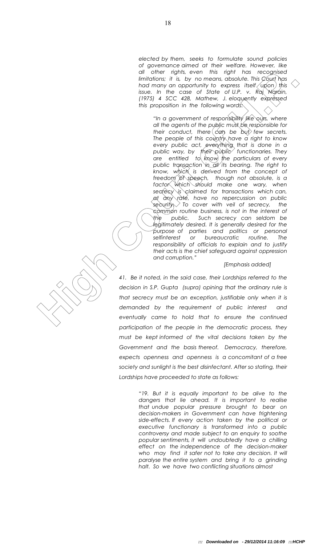*elected by them, seeks to formulate sound policies of governance aimed at their welfare. However, like all other rights, even this right has recognised limitations; it is, by no means, absolute. This Court has had many an opportunity to express itself upon this issue. In the case of State of U.P. v. Raj Narain, (1975) 4 SCC 428, Mathew, J. eloquently expressed this proposition in the following words:*

and the rights, were this couple to the success that is completed by the angle of the proposition in the couple of Hosters is the couple of the couple of the success that is complete this couple of the couple of the couple *"In a government of responsibility like ours, where all the agents of the public must be responsible for their conduct, there*  $\frac{1}{2}$  *few secrets. The people of this country have a right to know every public act, everything that is done in a public way, by their public functionaries. They are entitled to know the particulars of every public transaction in all its bearing. The right to know, which is derived from the concept of freedom of speech, though not absolute, is a factor which should make one wary, when secrecy is claimed for transactions which can, at any rate, have no repercussion on public security. To cover with veil of secrecy, the common routine business, is not in the interest of the public. Such secrecy can seldom be legitimately desired. It is generally desired for the purpose of parties and politics or personal selfinterest or bureaucratic routine. The responsibility of officials to explain and to justify their acts is the chief safeguard against oppression and corruption."*

#### *[Emphasis added]*

*41. Be it noted, in the said case, their Lordships referred to the decision in S.P. Gupta (supra) opining that the ordinary rule is that secrecy must be an exception, justifiable only when it is demanded by the requirement of public interest and eventually came to hold that to ensure the continued participation of the people in the democratic process, they must be kept informed of the vital decisions taken by the Government and the basis thereof. Democracy, therefore, expects openness and openness is a concomitant of a free society and sunlight is the best disinfectant. After so stating, their Lordships have proceeded to state as follows:*

> *"19. But it is equally important to be alive to the dangers that lie ahead. It is important to realise that undue popular pressure brought to bear on decision-makers in Government can have frightening side-effects. If every action taken by the political or executive functionary is transformed into a public controversy and made subject to an enquiry to soothe popular sentiments, it will undoubtedly have a chilling effect on the independence of the decision-maker who may find it safer not to take any decision. It will paralyse the entire system and bring it to a grinding halt. So we have two conflicting situations almost*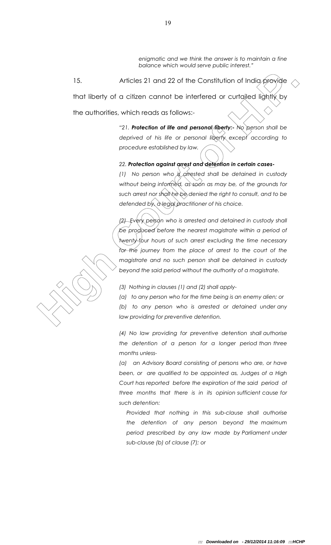*enigmatic and we think the answer is to maintain a fine balance which would serve public interest."*

15. Articles 21 and 22 of the Constitution of India provide that liberty of a citizen cannot be interfered or curtailed lightly by the authorities, which reads as follows:-

> *"21. Protection of life and personal liberty:- No person shall be deprived of his life or personal liberty except according to procedure established by law.*

*22. Protection against arrest and detention in certain cases-*

*(1) No person who is arrested shall be detained in custody without being informed, as soon as may be, of the grounds for such arrest nor shall he be denied the right to consult, and to be defended by, a legal practitioner of his choice.* 

Micles 21 and 22 of the Constitution of India provide <br>
that liberty of a citizen cannot be interfered or curtained lightly by<br>
the outhorities, which reads as follows:<br>
"21. **Protection of** *III***e and personal liberty:** No *(2) Every person who is arrested and detained in custody shall be produced before the nearest magistrate within a period of twenty-four hours of such arrest excluding the time necessary*  for the journey from the place of arrest to the court of the *magistrate and no such person shall be detained in custody beyond the said period without the authority of a magistrate.* 

*(3) Nothing in clauses (1) and (2) shall apply-*

*(a) to any person who for the time being is an enemy alien; or*

*(b) to any person who is arrested or detained under any law providing for preventive detention.*

*(4) No law providing for preventive detention shall authorise the detention of a person for a longer period than three months unless-*

*(a) an Advisory Board consisting of persons who are, or have been, or are qualified to be appointed as, Judges of a High Court has reported before the expiration of the said period of three months that there is in its opinion sufficient cause for such detention:*

*Provided that nothing in this sub-clause shall authorise the detention of any person beyond the maximum period prescribed by any law made by Parliament under sub-clause (b) of clause (7); or*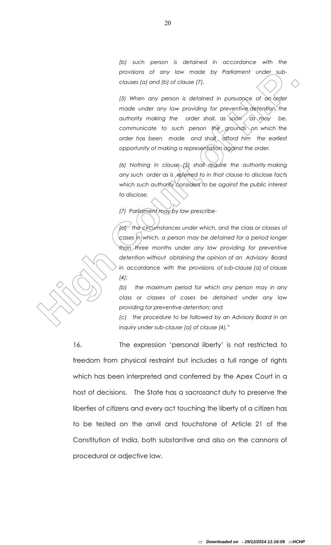*(b) such person is detained in accordance with the provisions of any law made by Parliament under subclauses (a) and (b) of clause (7).*

*(5) When any person is detained in pursuance of an order made under any law providing for preventive detention, the*  authority making the order shall, as soon as may be, *communicate to such person the grounds on which the order has been made and shall afford him the earliest opportunity of making a representation against the order.*

*(6) Nothing in clause (5) shall require the authority making any such order as is referred to in that clause to disclose facts which such authority considers to be against the public interest to disclose.*

*(7) Parliament may by law prescribe-*

*providents of they law made by Parliament under Juby convents foll and (b) of clouse B).***<br>
(c) When any person is detoined in pursuance of an oxige the distribution of the authority media entre show providing for present** *(a) the circumstances under which, and the class or classes of cases in which, a person may be detained for a period longer than three months under any law providing for preventive detention without obtaining the opinion of an Advisory Board in accordance with the provisions of sub-clause (a) of clause (4);*

*(b) the maximum period for which any person may in any class or classes of cases be detained under any law providing for preventive detention; and* 

*(c) the procedure to be followed by an Advisory Board in an inquiry under sub-clause (a) of clause (4)."*

16. The expression 'personal liberty' is not restricted to freedom from physical restraint but includes a full range of rights which has been interpreted and conferred by the Apex Court in a host of decisions. The State has a sacrosanct duty to preserve the liberties of citizens and every act touching the liberty of a citizen has to be tested on the anvil and touchstone of Article 21 of the Constitution of India, both substantive and also on the cannons of procedural or adjective law.

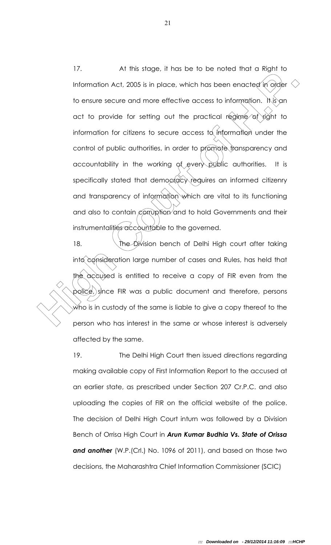The motion Act, 2005 is in place, which has been enacted in origin to the motion Act, 2005 is in place, which has been enacted in order to ensure secure and more effective access to information. It is an act to provide for 17. At this stage, it has be to be noted that a Right to Information Act, 2005 is in place, which has been enacted in order to ensure secure and more effective access to information. It is an act to provide for setting out the practical regime of right to information for citizens to secure access to information under the control of public authorities, in order to promote transparency and accountability in the working of every public authorities. It is specifically stated that democracy requires an informed citizenry and transparency of information which are vital to its functioning and also to contain corruption and to hold Governments and their instrumentalities accountable to the governed.

18. **The Division bench of Delhi High court after taking** into consideration large number of cases and Rules, has held that the accused is entitled to receive a copy of FIR even from the police, since FIR was a public document and therefore, persons who is in custody of the same is liable to give a copy thereof to the person who has interest in the same or whose interest is adversely affected by the same.

19. The Delhi High Court then issued directions regarding making available copy of First Information Report to the accused at an earlier state, as prescribed under Section 207 Cr.P.C. and also uploading the copies of FIR on the official website of the police. The decision of Delhi High Court inturn was followed by a Division Bench of Orrisa High Court in *Arun Kumar Budhia Vs. State of Orissa and another* (W.P.(Crl.) No. 1096 of 2011), and based on those two decisions, the Maharashtra Chief Information Commissioner (SCIC)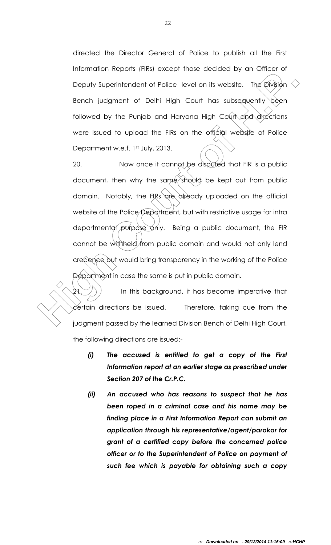directed the Director General of Police to publish all the First Information Reports (FIRs) except those decided by an Officer of Deputy Superintendent of Police level on its website. The Division  $\leq$ Bench judgment of Delhi High Court has subsequently been followed by the Punjab and Haryana High Court and directions were issued to upload the FIRs on the official website of Police Department w.e.f. 1st July, 2013.

**Example 1** the state of Philosophy Superintendent of Police level on its website. The Division Senach judgment of Delhi High Court has subsequently been followed by the Punjab and Haryana High Court And directions were is 20. Now once it cannot be disputed that FIR is a public document, then why the same should be kept out from public domain. Notably, the FIRs are already uploaded on the official website of the Police Department, but with restrictive usage for intra departmental purpose only. Being a public document, the FIR cannot be withheld from public domain and would not only lend credence but would bring transparency in the working of the Police Department in case the same is put in public domain.

In this background, it has become imperative that certain directions be issued. Therefore, taking cue from the judgment passed by the learned Division Bench of Delhi High Court, the following directions are issued:-

- *(i) The accused is entitled to get a copy of the First Information report at an earlier stage as prescribed under Section 207 of the Cr.P.C.*
- *(ii) An accused who has reasons to suspect that he has been roped in a criminal case and his name may be finding place in a First Information Report can submit an application through his representative/agent/parokar for grant of a certified copy before the concerned police officer or to the Superintendent of Police on payment of such fee which is payable for obtaining such a copy*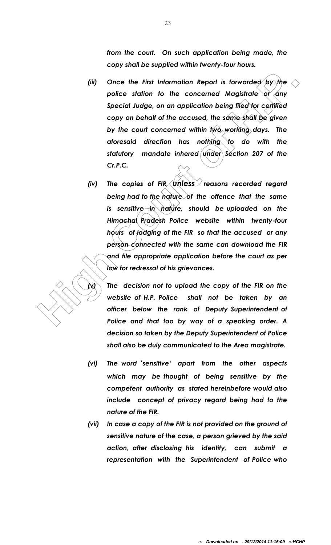*from the court. On such application being made, the copy shall be supplied within twenty-four hours.*

- *(iii) Once the First Information Report is forwarded by the*  police station to the concerned Magistrate or any *Special Judge, on an application being filed for certified copy on behalf of the accused, the same shall be given by the court concerned within two working days. The aforesaid direction has nothing to do with the statutory mandate inhered under Section 207 of the Cr.P.C.*
- (ii) Once the First information Report is forwarded by the conduction of the concerned Magistrate or only Special Judge, on an application being filed for certified copy on behalf of the accused, the same shall be given by *(iv)* The copies of FIR, unless reasons recorded regard *being had to the nature of the offence that the same is sensitive in nature, should be uploaded on the Himachal Pradesh Police website within twenty-four hours of lodging of the FIR so that the accused or any person connected with the same can download the FIR and file appropriate application before the court as per law for redressal of his grievances.*

*(v) The decision not to upload the copy of the FIR on the website of H.P. Police shall not be taken by an officer below the rank of Deputy Superintendent of Police and that too by way of a speaking order. A decision so taken by the Deputy Superintendent of Police shall also be duly communicated to the Area magistrate.* 

- *(vi) The word 'sensitive' apart from the other aspects which may be thought of being sensitive by the competent authority as stated hereinbefore would also include concept of privacy regard being had to the nature of the FIR.*
- *(vii) In case a copy of the FIR is not provided on the ground of sensitive nature of the case, a person grieved by the said action, after disclosing his identity, can submit a representation with the Superintendent of Police who*